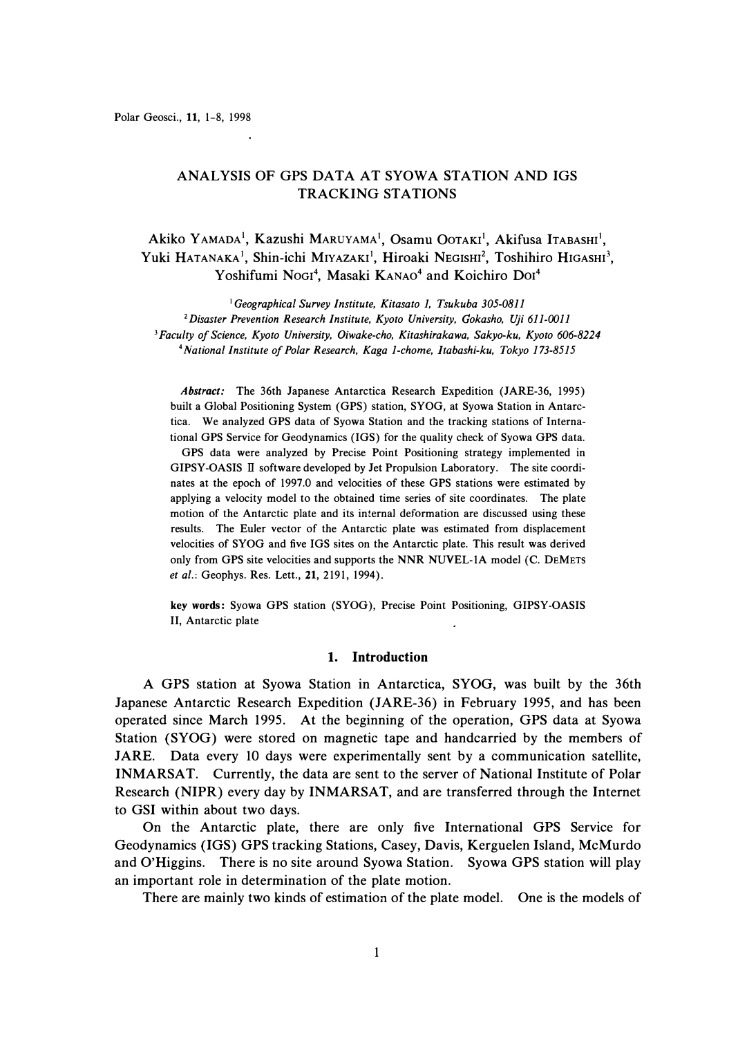# ANALYSIS OF GPS DATA AT SYOWA STATION AND IGS TRACKING STATIONS

Akiko Yamada<sup>1</sup>, Kazushi Maruyama<sup>1</sup>, Osamu Ootaki<sup>1</sup>, Akifusa Itabashi<sup>1</sup>, Yuki HATANAKA<sup>1</sup>, Shin-ichi Miyazaki<sup>1</sup>, Hiroaki Negishi<sup>2</sup>, Toshihiro Higashi<sup>3</sup>, Yoshifumi Nogi<sup>4</sup>, Masaki KANAO<sup>4</sup> and Koichiro Dol<sup>4</sup>

*Geographical Survey Institute, Kitasato 1, Tsukuba 305-0811 Disaster Prevention Research Institute, Kyoto University, Gokasho, Uji 611-0011 Faculty of Science, Kyoto University, Oiwake-cho, Kitashirakawa, Sakyo-ku, Kyoto 606-8224 National Institute of Polar Research, Kaga 1-chome, ltabashi-ku, Tokyo 173-8515* 

*Abstract:* The 36th Japanese Antarctica Research Expedition (JARE-36, 1995) built a Global Positioning System **(GPS)** station, **SYOG,** at Syowa Station in Antarctica. We analyzed GPS data of Syowa Station and the tracking stations of International GPS Service for Geodynamics (IGS) for the quality check of Syowa GPS data. **GPS** data were analyzed by Precise Point Positioning strategy implemented in **GIPSY-OASIS** II software developed by Jet Propulsion Laboratory. The site coordinates at the epoch of 1997.0 and velocities of these **GPS** stations were estimated by applying a velocity model to the obtained time series of site coordinates. The plate motion of the Antarctic plate and its internal deformation are discussed using these results. The Euler vector of the Antarctic plate was estimated from displacement velocities of SYOG and five IGS sites on the Antarctic plate. This result was derived only from GPS site velocities and supports the NNR NUVEL-lA model (C. DEMETS *et al.:* Geophys. Res. Lett., 21, 2191, 1994).

key **words:** Syowa GPS station (SYOG), Precise Point Positioning, GIPSY-OASIS II, Antarctic plate

# **1. Introduction**

A GPS station at Syowa Station in Antarctica, SYOG, was built by the 36th Japanese Antarctic Research Expedition (JARE-36) in February 1995, and has been operated since March 1995. At the beginning of the operation, GPS data at Syowa Station (SYOG) were stored on magnetic tape and handcarried by the members of JARE. Data every 10 days were experimentally sent by a communication satellite, INMARSAT. Currently, the data are sent to the server of National Institute of Polar Research (NIPR) every day by INMARSAT, and are transferred through the Internet to GSI within about two days.

On the Antarctic plate, there are only five International GPS Service for Geodynamics (IGS) GPS tracking Stations, Casey, Davis, Kerguelen Island, McMurdo and O'Higgins. There is no site around Syowa Station. Syowa GPS station will play an important role in determination of the plate motion.

There are mainly two kinds of estimation of the plate model. One is the models of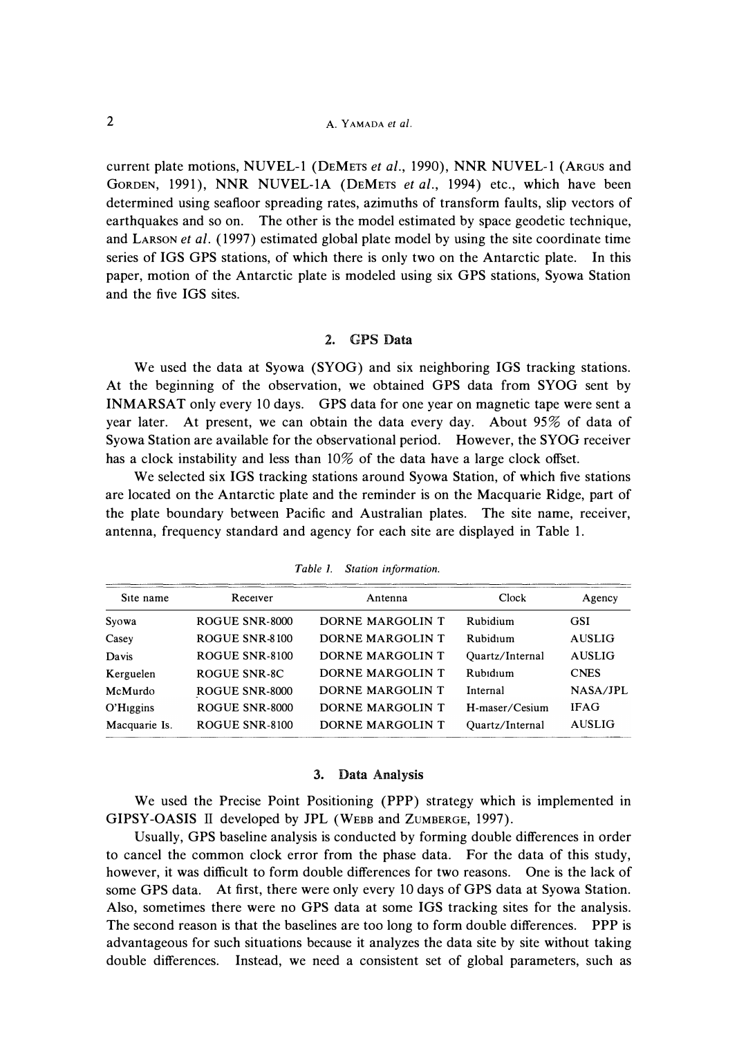**current plate motions, NUVEL-1 (DEMETS** *et al.,* **1990), NNR NUVEL-1 (ARGUS and GORDEN, 1991), NNR NUVEL-lA (DEMETS** *et al.,* **1994) etc., which have been determined using seafloor spreading rates, azimuths of transform faults, slip vectors of earthquakes and so on. The other is the model estimated by space geodetic technique, and LARSON** *et al.* **( 1997) estimated global plate model by using the site coordinate time series of IGS GPS stations, of which there is only two on the Antarctic plate. In this paper, motion of the Antarctic plate is modeled using six GPS stations, Syowa Station and the five IGS sites.** 

## **2. GPS Data**

**We used the data at Syowa (SYOG) and six neighboring IGS tracking stations. At the beginning of the observation, we obtained GPS data from SYOG sent by INMARSAT only every 10 days. GPS data for one year on magnetic tape were sent a year later. At present, we can obtain the data every day. About 95% of data of Syowa Station are available for the observational period. However, the SYOG receiver has a clock instability and less than 10% of the data have a large clock offset.** 

**We selected six IGS tracking stations around Syowa Station, of which five stations are located on the Antarctic plate and the reminder is on the Macquarie Ridge, part of the plate boundary between Pacific and Australian plates. The site name, receiver, antenna, frequency standard and agency for each site are displayed in Table 1.** 

| Agency        |
|---------------|
|               |
| <b>AUSLIG</b> |
| <b>AUSLIG</b> |
| <b>CNES</b>   |
| NASA/JPL      |
| <b>IFAG</b>   |
| <b>AUSLIG</b> |
| <b>GSI</b>    |

*Table 1. Station information.* 

#### **3. Data Analysis**

**We used the Precise Point Positioning (PPP) strategy which is implemented in GIPSY-OASIS II developed by JPL (WEBB and ZuMBERGE, 1997).** 

**Usually, GPS baseline analysis is conducted by forming double differences in order to cancel the common clock error from the phase data. For the data of this study, however, it was difficult to form double differences for two reasons. One is the lack of some GPS data. At first, there were only every 10 days of GPS data at Syowa Station. Also, sometimes there were no GPS data at some IGS tracking sites for the analysis. The second reason is that the baselines are too long to form double differences. PPP is advantageous for such situations because it analyzes the data site by site without taking double differences. Instead, we need a consistent set of global parameters, such as**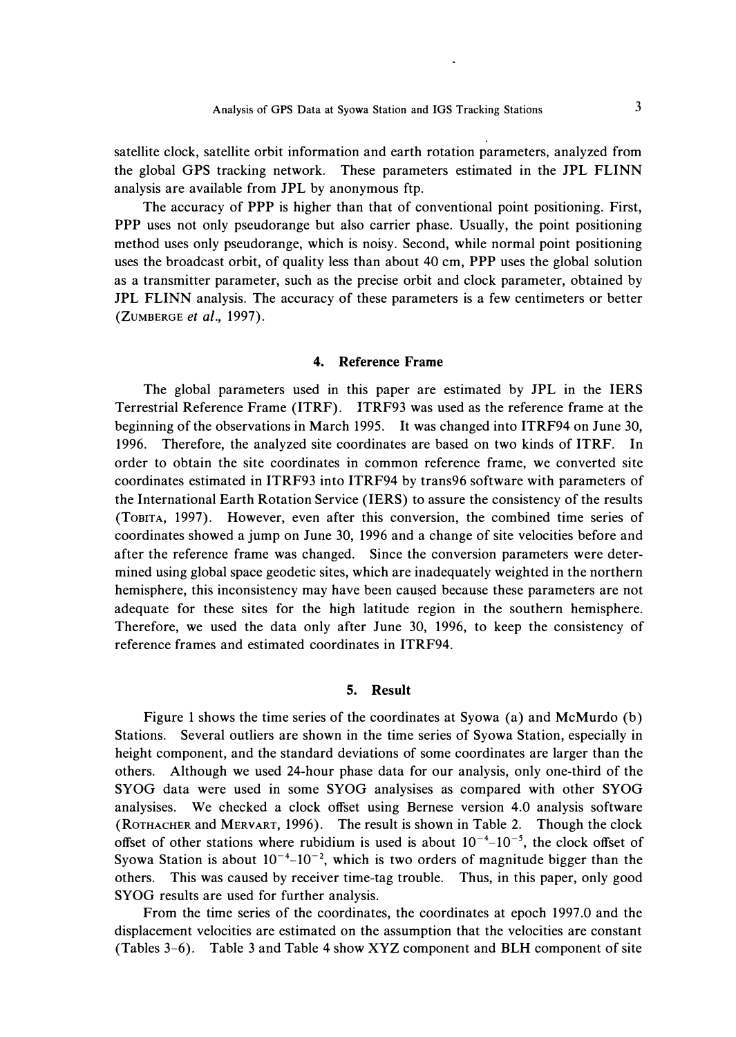**satellite clock, satellite orbit information and earth rotation parameters, analyzed from the global GPS tracking network. These parameters estimated in the JPL FLINN analysis are available from JPL by anonymous ftp.** 

**The accuracy of PPP is higher than that of conventional point positioning. First, PPP uses not only pseudorange but also carrier phase. Usually, the point positioning method uses only pseudorange, which is noisy. Second, while normal point positioning uses the broadcast orbit, of quality less than about 40 cm, PPP uses the global solution as a transmitter parameter, such as the precise orbit and clock parameter, obtained by JPL FLINN analysis. The accuracy of these parameters is a few centimeters or better (ZUMBERGE** *et al.,* **1997).** 

# **4. Reference Frame**

**The global parameters used in this paper are estimated by JPL in the IERS Terrestrial Reference Frame (ITRF). ITRF93 was used as the reference frame at the beginning of the observations in March 1995. It was changed into ITRF94 on June 30, 1996. Therefore, the analyzed site coordinates are based on two kinds of ITRF. In order to obtain the site coordinates in common reference frame, we converted site coordinates estimated in ITRF93 into ITRF94 by trans96 software with parameters of the International Earth Rotation Service (IERS) to assure the consistency of the results (ToBITA, 1997). However, even after this conversion, the combined time series of coordinates showed a jump on June 30, 1996 and a change of site velocities before and after the reference frame was changed. Since the conversion parameters were determined using global space geodetic sites, which are inadequately weighted in the northern hemisphere, this inconsistency may have been caused because these parameters are not adequate for these sites for the high latitude region in the southern hemisphere. Therefore, we used the data only after June 30, 1996, to keep the consistency of reference frames and estimated coordinates in ITRF94.** 

#### **5. Result**

**Figure 1 shows the time series of the coordinates at Syowa (a) and McMurdo (b) Stations. Several outliers are shown in the time series of Syowa Station, especially in height component, and the standard deviations of some coordinates are larger than the others. Although we used 24-hour phase data for our analysis, only one-third of the SYOG data were used in some SYOG analysises as compared with other SYOG analysises. We checked a clock offset using Bernese version 4.0 analysis software (ROTHACHER and MERVART, 1996). The result is shown in Table 2. Though the clock**  offset of other stations where rubidium is used is about  $10^{-4}$ - $10^{-5}$ , the clock offset of Syowa Station is about  $10^{-4}$ – $10^{-2}$ , which is two orders of magnitude bigger than the **others. This was caused by receiver time-tag trouble. Thus, in this paper, only good SYOG results are used for further analysis.** 

**From the time series of the coordinates, the coordinates at epoch 1997 .0 and the displacement velocities are estimated on the assumption that the velocities are constant (Tables 3-6). Table 3 and Table 4 show XYZ component and BLH component of site**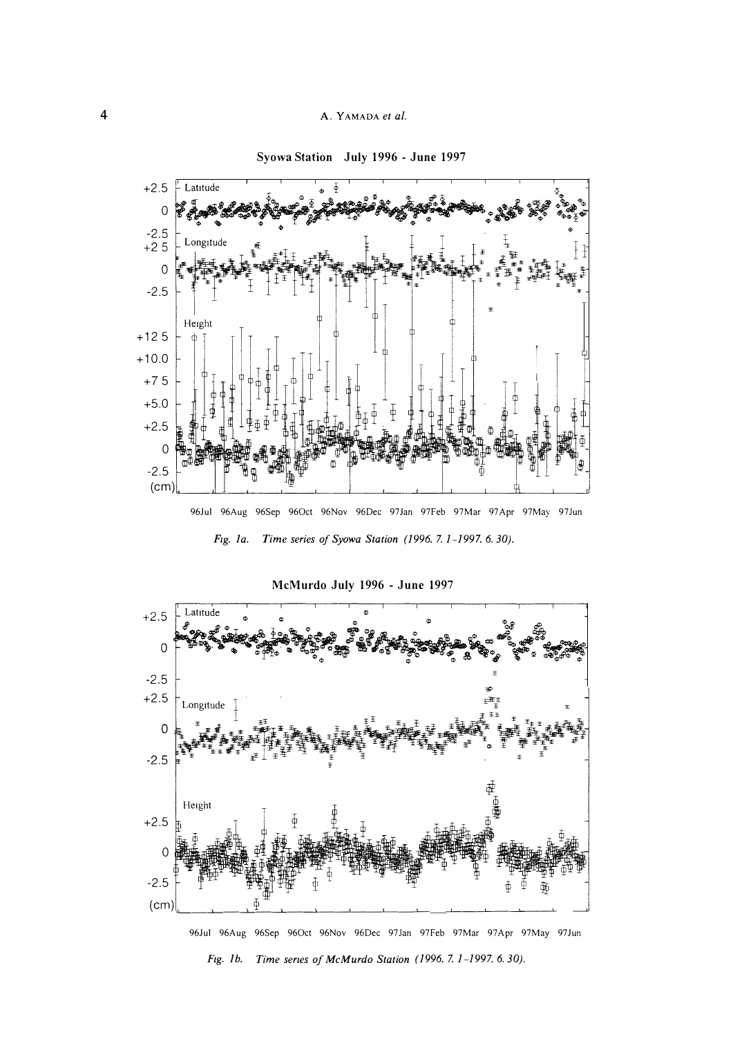

**Syowa Station July 1996 - June 1997** 

96Jul 96Aug 96Sep 960ct 96Nov 96Dec 97 Jan 97Feb 97Mar 97 Apr 97May 97 Jun





96Jul 96Aug 96Sep 96Oct 96Nov 96Dec 97Jan 97Feb 97Mar 97Apr 97May 97Jun *Fig. lb. Time series of McMurdo Station (1996. 7.1-1997. 6. 30).*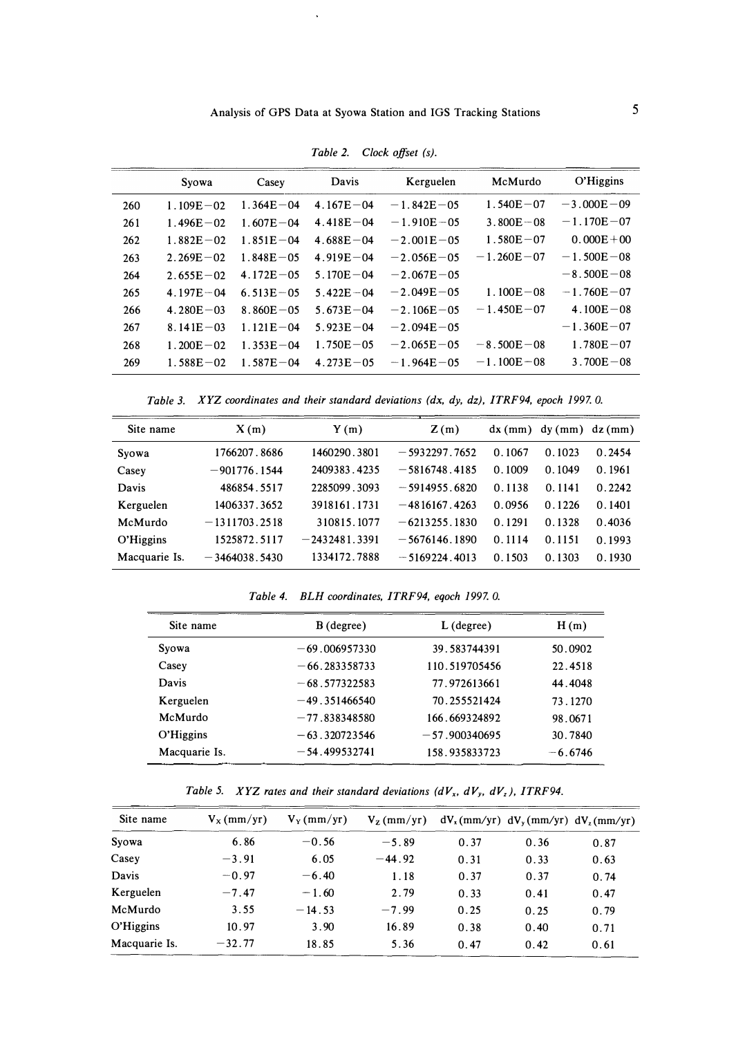|     | Syowa         | Casey         | Davis         | Kerguelen      | McMurdo        | O'Higgins      |
|-----|---------------|---------------|---------------|----------------|----------------|----------------|
| 260 | $1.109E - 02$ | $1.364E - 04$ | $4.167E - 04$ | $-1.842E - 05$ | $1.540E - 07$  | $-3.000E - 09$ |
| 261 | $1.496E - 02$ | $1.607E - 04$ | $4.418E - 04$ | $-1.910E - 05$ | $3.800E - 08$  | $-1.170E - 07$ |
| 262 | $1.882E - 02$ | $1.851E - 04$ | $4.688E - 04$ | $-2.001E - 05$ | $1.580E - 07$  | $0.000E + 00$  |
| 263 | $2.269E - 02$ | $1.848E - 05$ | $4.919E - 04$ | $-2.056E - 05$ | $-1.260E - 07$ | $-1.500E - 08$ |
| 264 | $2.655E - 02$ | $4.172E - 05$ | $5.170E - 04$ | $-2.067E - 05$ |                | $-8.500E - 08$ |
| 265 | $4.197E - 04$ | $6.513E - 05$ | $5.422E - 04$ | $-2.049E - 05$ | $1.100E - 08$  | $-1.760E - 07$ |
| 266 | $4.280E - 03$ | $8.860E - 05$ | $5.673E - 04$ | $-2.106E - 05$ | $-1.450E - 07$ | $4.100E - 08$  |
| 267 | $8.141E - 03$ | $1.121E - 04$ | $5.923E - 04$ | $-2.094E - 05$ |                | $-1.360E - 07$ |
| 268 | $1.200E - 02$ | $1.353E - 04$ | $1.750E - 05$ | $-2.065E - 05$ | $-8.500E - 08$ | $1.780E - 07$  |
| 269 | $1.588E - 02$ | $1.587E - 04$ | $4.273E - 05$ | $-1.964E - 05$ | $-1.100E - 08$ | $3.700E - 08$  |

*Table 2. Clock offset (s).* 

*Table 3. XYZ coordinates and their standard deviations (dx, dy, dz), ITRF94, epoch 1997. 0.* 

| Site name     | X(m)            | Y(m)            | Z(m)            |        | dx (mm) dy (mm) dz (mm) |        |
|---------------|-----------------|-----------------|-----------------|--------|-------------------------|--------|
| Syowa         | 1766207.8686    | 1460290.3801    | $-5932297.7652$ | 0.1067 | 0.1023                  | 0.2454 |
| Casey         | $-901776.1544$  | 2409383.4235    | $-5816748.4185$ | 0.1009 | 0.1049                  | 0.1961 |
| Davis         | 486854.5517     | 2285099.3093    | $-5914955.6820$ | 0.1138 | 0.1141                  | 0.2242 |
| Kerguelen     | 1406337.3652    | 3918161.1731    | $-4816167.4263$ | 0.0956 | 0.1226                  | 0.1401 |
| McMurdo       | $-1311703.2518$ | 310815.1077     | $-6213255.1830$ | 0.1291 | 0.1328                  | 0.4036 |
| O'Higgins     | 1525872.5117    | $-2432481.3391$ | $-5676146.1890$ | 0.1114 | 0.1151                  | 0.1993 |
| Macquarie Is. | $-3464038.5430$ | 1334172.7888    | $-5169224.4013$ | 0.1503 | 0.1303                  | 0.1930 |

*Table 4. BLH coordinates, ITRF94, eqoch 1997. 0.* 

| Site name     | $B$ (degree)    | $L$ (degree)    | H(m)      |
|---------------|-----------------|-----------------|-----------|
| Syowa         | $-69.006957330$ | 39.583744391    | 50.0902   |
| Casey         | $-66.283358733$ | 110.519705456   | 22.4518   |
| Davis         | $-68.577322583$ | 77.972613661    | 44.4048   |
| Kerguelen     | $-49.351466540$ | 70.255521424    | 73.1270   |
| McMurdo       | $-77.838348580$ | 166.669324892   | 98.0671   |
| O'Higgins     | $-63.320723546$ | $-57.900340695$ | 30.7840   |
| Macquarie Is. | $-54.499532741$ | 158.935833723   | $-6.6746$ |

*Table 5. XYZ rates and their standard deviations (dVx, dV<sup>y</sup> , dVz ), ITRF94.* 

| Site name     | $V_{X}(mm/yr)$ | $V_Y$ (mm/yr) | $V_z$ (mm/yr) |      |      | $dV_x(mm/yr) dV_y(mm/yr) dV_z(mm/yr)$ |
|---------------|----------------|---------------|---------------|------|------|---------------------------------------|
| Syowa         | 6.86           | $-0.56$       | $-5.89$       | 0.37 | 0.36 | 0.87                                  |
| Casey         | $-3.91$        | 6.05          | $-44.92$      | 0.31 | 0.33 | 0.63                                  |
| Davis         | $-0.97$        | $-6.40$       | 1.18          | 0.37 | 0.37 | 0.74                                  |
| Kerguelen     | $-7.47$        | $-1.60$       | 2.79          | 0.33 | 0.41 | 0.47                                  |
| McMurdo       | 3.55           | $-14.53$      | $-7.99$       | 0.25 | 0.25 | 0.79                                  |
| O'Higgins     | 10.97          | 3.90          | 16.89         | 0.38 | 0.40 | 0.71                                  |
| Macquarie Is. | $-32.77$       | 18.85         | 5.36          | 0.47 | 0.42 | 0.61                                  |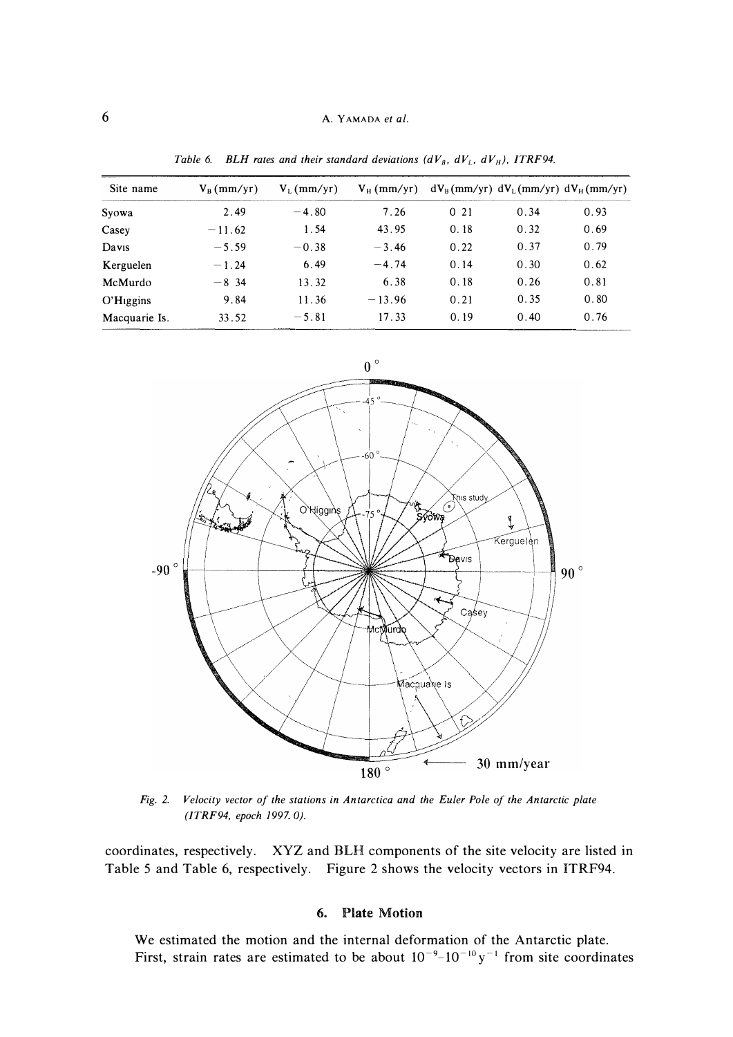| Site name               | $V_B$ (mm/yr) | $V_L$ (mm/yr) | $V_H$ (mm/yr) |      |      | $dV_B$ (mm/yr) $dV_L$ (mm/yr) $dV_H$ (mm/yr) |
|-------------------------|---------------|---------------|---------------|------|------|----------------------------------------------|
| Syowa                   | 2.49          | $-4.80$       | 7.26          | 021  | 0.34 | 0.93                                         |
| Casey                   | $-11.62$      | 1.54          | 43.95         | 0.18 | 0.32 | 0.69                                         |
| Davis                   | $-5.59$       | $-0.38$       | $-3.46$       | 0.22 | 0.37 | 0.79                                         |
| Kerguelen               | $-1.24$       | 6.49          | $-4.74$       | 0.14 | 0.30 | 0.62                                         |
| McMurdo                 | $-8, 34$      | 13.32         | 6.38          | 0.18 | 0.26 | 0.81                                         |
| $O'H$ <sub>iggins</sub> | 9.84          | 11.36         | $-13.96$      | 0.21 | 0.35 | 0.80                                         |
| Macquarie Is.           | 33.52         | $-5.81$       | 17.33         | 0.19 | 0.40 | 0.76                                         |

*Table 6. BLH rates and their standard deviations (dV<sub>B</sub>, dV<sub>L</sub>, dV<sub>H</sub>), ITRF94.* 



*Fig. 2. Velocity vector of the stations in Antarctica and the Euler Pole of the Antarctic plate (ITRF94, epoch 1997. OJ.* 

coordinates, respectively. XYZ and BLH components of the site velocity are listed in Table 5 and Table 6, respectively. Figure 2 shows the velocity vectors in ITRF94.

# 6. Plate Motion

We estimated the motion and the internal deformation of the Antarctic plate. First, strain rates are estimated to be about  $10^{-9}$ – $10^{-10}$  y<sup>-1</sup> from site coordinates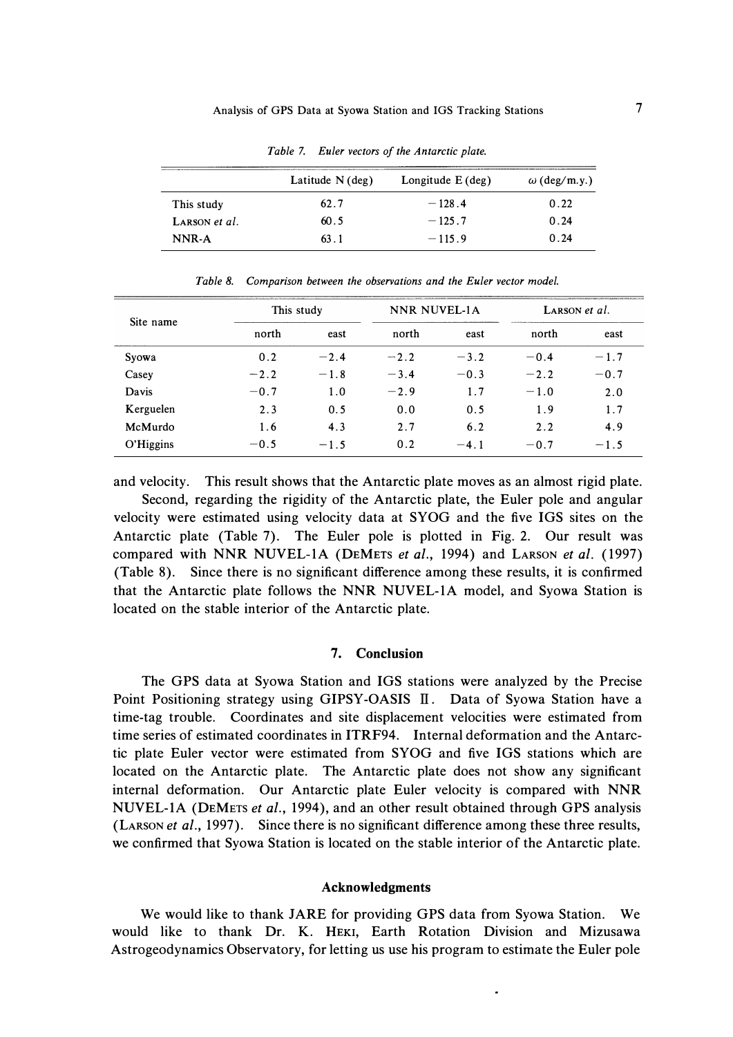|               | Latitude $N$ (deg) | Longitude $E$ (deg) | $\omega$ (deg/m.y.) |
|---------------|--------------------|---------------------|---------------------|
| This study    | 62.7               | $-128.4$            | 0.22                |
| LARSON et al. | 60.5               | $-125.7$            | 0.24                |
| NNR-A         | 63.1               | $-115.9$            | 0.24                |

*Table* 7. *Euler vectors of the Antarctic plate.* 

| Site name |        | This study |        | NNR NUVEL-1A |        | LARSON et al. |  |
|-----------|--------|------------|--------|--------------|--------|---------------|--|
|           | north  | east       | north  | east         | north  | east          |  |
| Syowa     | 0.2    | $-2.4$     | $-2.2$ | $-3.2$       | $-0.4$ | $-1.7$        |  |
| Casey     | $-2.2$ | $-1.8$     | $-3.4$ | $-0.3$       | $-2.2$ | $-0.7$        |  |
| Davis     | $-0.7$ | 1.0        | $-2.9$ | 1.7          | $-1.0$ | 2.0           |  |
| Kerguelen | 2.3    | 0.5        | 0.0    | 0.5          | 1.9    | 1.7           |  |
| McMurdo   | 1.6    | 4.3        | 2.7    | 6.2          | 2.2    | 4.9           |  |
| O'Higgins | $-0.5$ | $-1.5$     | 0.2    | $-4.1$       | $-0.7$ | $-1.5$        |  |

*Table 8. Comparison between the observations and the Euler vector model.* 

**and velocity. This result shows that the Antarctic plate moves as an almost rigid plate. Second, regarding the rigidity of the Antarctic plate, the Euler pole and angular velocity were estimated using velocity data at SYOG and the five IGS sites on the Antarctic plate (Table 7). The Euler pole is plotted in Fig. 2. Our result was compared with NNR NUVEL-lA (DEMETS** *et al.,* **1994) and LARSON** *et al.* **(1997) (Table 8). Since there is no significant difference among these results, it is confirmed that the Antarctic plate follows the NNR NUVEL-lA model, and Syowa Station is located on the stable interior of the Antarctic plate.** 

### **7. Conclusion**

**The GPS data at Syowa Station and IGS stations were analyzed by the Precise Point Positioning strategy using GIPSY-OASIS II. Data of Syowa Station have a time-tag trouble. Coordinates and site displacement velocities were estimated from time series of estimated coordinates in ITRF94. Internal deformation and the Antarctic plate Euler vector were estimated from SYOG and five IGS stations which are located on the Antarctic plate. The Antarctic plate does not show any significant internal deformation. Our Antarctic plate Euler velocity is compared with NNR NUVEL-lA (DEMETS** *et al.,* **1994), and an other result obtained through GPS analysis (LARSON** *et al.,* **1997). Since there is no significant difference among these three results, we confirmed that Syowa Station is located on the stable interior of the Antarctic plate.** 

#### **Acknowledgments**

**We would like to thank JARE for providing GPS data from Syowa Station. We would like to thank Dr. K. HEKI, Earth Rotation Division and Mizusawa Astrogeodynamics Observatory, for letting us use his program to estimate the Euler pole**